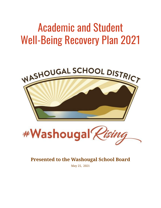# Academic and Student Well-Being Recovery Plan 2021





## **Presented to the Washougal School Board**

May 25, 2021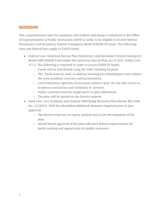### BACKGROUND

This comprehensive plan for academic and student well-being is submitted to the Office of Superintendent of Public Instruction (OSPI) in order to be eligible to receive federal Elementary and Secondary Schools Emergency Relief (ESSER) III funds. The following state and federal laws apply to ESSER funds:

- Federal Law: American Rescue Plan Elementary and Secondary School Emergency Relief (ARP ESSER) Fund under the American Rescue Plan Act of 2021, Public Law 117-2. The following is required in order to access ESSER III funds:
	- Funds will be distributed using the Title I funding formula.
	- The funds must be used to address learning loss (Washington state utilizes the term academic recovery and acceleration).
	- Local Education Agencies (LEAs) must submit a plan for the safe return to in-person instruction and continuity of services.
	- Public comment must be sought prior to plan submission.
	- The plan will be posted on the District website
- State Law: LEA Academic and Student Well-Being Recovery Plan (House Bill 1368; Sec. 12 [2021]. OSPI has identified additional elements required prior to plan approval:
	- The district must use an equity analysis tool in the development of the plan.
	- School board approval of the plan will meet federal requirements for public posting and opportunity for public comment.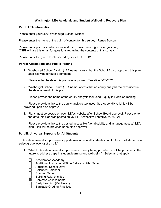#### **Washington LEA Academic and Student Well-being Recovery Plan**

#### **Part I: LEA Information**

Please enter your LEA:  Washougal School District

Please enter the name of the point of contact for this survey:  Renae Burson

Please enter point of contact email address:  renae.burson@washougalsd.org OSPI will use this email for questions regarding the contents of this survey. 

Please enter the grade levels served by your LEA:  K-12

#### **Part II: Attestations and Public Posting**

**1.** Washougal School District (LEA name) attests that the School Board approved this plan after allowing for public comment.

Please enter the date this plan was approved: Tentative 5/25/2021

**2.** Washougal School District (LEA name) attests that an equity analysis tool was used in the development of this plan.

Please provide the name of the equity analysis tool used: Equity in Decision-making

Please provide a link to the equity analysis tool used: See Appendix A. Link will be provided upon plan approval.

**3.** Plans must be posted on each LEA's website after School Board approval. Please enter the date this plan was posted on your LEA website: Tentative 5/26/2021

Please provide a link to the posted accessible (i.e., disability and language access) LEA plan: Link will be provided upon plan approval

#### **Part III: Universal Supports for All Students**

LEA-wide universal supports are supports available to all students in an LEA or to all students in select grade level(s) of an LEA.

- **4.** What LEA-wide universal supports are currently being provided or will be provided in the future to address gaps in student learning and well-being? (Select all that apply)
	- Acceleration Academy Additional Instructional Time Before or After School Additional School Days Balanced Calendar MMMM Summer School Building Relationships Common Assessments
		- Early Learning (K-4 literacy)
	- Equitable Grading Practices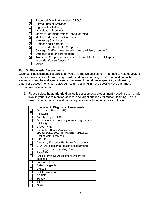|    | Extended Day Partnerships (CBOs)                           |
|----|------------------------------------------------------------|
|    | <b>Extracurricular Activities</b>                          |
|    | <b>High-quality Tutoring</b>                               |
|    | <b>Inclusionary Practices</b>                              |
|    | Mastery Learning/Project-Based learning                    |
|    | Multi-tiered System of Supports                            |
|    | <b>Narrowing Standards</b>                                 |
| XX | <b>Professional Learning</b>                               |
|    | <b>SEL and Mental Health Supports</b>                      |
|    | Strategic Staffing (teacher advocates, advisory, looping)  |
|    | <b>Student Voice and Perception</b>                        |
|    | Transition Supports (Pre-K-Elem; Elem- MS; MS-HS; HS-post- |
|    | secondary/career/beyond)                                   |
|    | Other                                                      |
|    |                                                            |

#### **Part IV: Diagnostic Assessments**

Diagnostic assessment is a particular type of formative assessment intended to help educators identify students' specific knowledge, skills, and understanding in order to build on each student's strengths and specific needs. Because of their domain specificity and design, diagnostic assessments can guide curriculum planning in more specific ways than most summative assessments. 

**5.** Please select the **academic** diagnostic assessments predominantly used in each grade level in your LEA to monitor, assess, and target supports for student learning. The list below is not exhaustive and contains places to include diagnostics not listed.

| <b>Academic Diagnostic Assessments</b>                                                                    |
|-----------------------------------------------------------------------------------------------------------|
| Accelerated Reader (AR)                                                                                   |
| AIMSweb                                                                                                   |
| Amplify Insight (CCSS)                                                                                    |
| Assessment and Learning in Knowledge Spaced<br>(ALEKS)                                                    |
| CPAA (NWEA)                                                                                               |
| Curriculum-Based Assessments (e.g.,<br>Macmillan/McGraw-Hill, Math180, MobyMax,<br>Rocket Math, TenMarks) |
| <b>DIBELS</b>                                                                                             |
| <b>Discovery Education Predictive Assessment</b>                                                          |
| DRA (Developmental Reading Assessment)                                                                    |
| DRP (Degrees of Reading Power)                                                                            |
| EasyCBM                                                                                                   |
| FAST (Formative Assessment System for<br>Teachers)                                                        |
| <b>Fountas &amp; Pinnell</b>                                                                              |
| Gates Macginitie                                                                                          |
| <b>GMADE</b>                                                                                              |
| GOLD (WaKids)                                                                                             |
| <b>GRADE</b>                                                                                              |
| iReady                                                                                                    |
| <b>IRLA</b>                                                                                               |
| iStation                                                                                                  |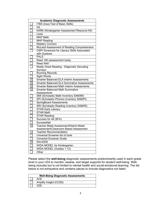| <b>ITBS (Iowa Test of Basic Skills)</b><br>IXL<br>KARK (Kindergarten Assessment Resource Kit)<br>Lexia<br><b>MAP Math</b><br><b>MAP Reading</b><br><b>Mastery Connect</b><br>McLeod Assessment of Reading Comprehension<br>OSPI Screeners for Literacy Skills Associated<br>with Dyslexia<br><b>PALS</b><br>Read 180 (assessment tools)<br><b>Read Well</b><br>Really Great Reading - Diagnostic Decoding<br>Surveys<br><b>Running Records</b><br>Sight Words |
|---------------------------------------------------------------------------------------------------------------------------------------------------------------------------------------------------------------------------------------------------------------------------------------------------------------------------------------------------------------------------------------------------------------------------------------------------------------|
|                                                                                                                                                                                                                                                                                                                                                                                                                                                               |
|                                                                                                                                                                                                                                                                                                                                                                                                                                                               |
|                                                                                                                                                                                                                                                                                                                                                                                                                                                               |
|                                                                                                                                                                                                                                                                                                                                                                                                                                                               |
|                                                                                                                                                                                                                                                                                                                                                                                                                                                               |
|                                                                                                                                                                                                                                                                                                                                                                                                                                                               |
|                                                                                                                                                                                                                                                                                                                                                                                                                                                               |
|                                                                                                                                                                                                                                                                                                                                                                                                                                                               |
|                                                                                                                                                                                                                                                                                                                                                                                                                                                               |
|                                                                                                                                                                                                                                                                                                                                                                                                                                                               |
|                                                                                                                                                                                                                                                                                                                                                                                                                                                               |
|                                                                                                                                                                                                                                                                                                                                                                                                                                                               |
|                                                                                                                                                                                                                                                                                                                                                                                                                                                               |
|                                                                                                                                                                                                                                                                                                                                                                                                                                                               |
|                                                                                                                                                                                                                                                                                                                                                                                                                                                               |
|                                                                                                                                                                                                                                                                                                                                                                                                                                                               |
|                                                                                                                                                                                                                                                                                                                                                                                                                                                               |
| $\boxtimes$<br><b>Smarter Balanced ELA Interim Assessments</b>                                                                                                                                                                                                                                                                                                                                                                                                |
| $\boxtimes$<br><b>Smarter Balanced ELA Summative Assessments</b>                                                                                                                                                                                                                                                                                                                                                                                              |
| $\boxtimes$<br><b>Smarter Balanced Math Interim Assessments</b>                                                                                                                                                                                                                                                                                                                                                                                               |
| <b>Smarter Balanced Math Summative</b>                                                                                                                                                                                                                                                                                                                                                                                                                        |
| Assessments                                                                                                                                                                                                                                                                                                                                                                                                                                                   |
| SMI (Scholastic Math Inventory SAM/MI)                                                                                                                                                                                                                                                                                                                                                                                                                        |
| SPI (Scholastic Phonics Inventory SAM/PI)                                                                                                                                                                                                                                                                                                                                                                                                                     |
| <b>SpringBoard Assessments</b>                                                                                                                                                                                                                                                                                                                                                                                                                                |
| SRI (Scholastic Reading Inventory SAM/RI)                                                                                                                                                                                                                                                                                                                                                                                                                     |
| <b>STAR Early Literacy</b>                                                                                                                                                                                                                                                                                                                                                                                                                                    |
| <b>STAR Math</b>                                                                                                                                                                                                                                                                                                                                                                                                                                              |
| <b>STAR Reading</b><br>Success for All (SFA)                                                                                                                                                                                                                                                                                                                                                                                                                  |
| <b>SuccessNet</b>                                                                                                                                                                                                                                                                                                                                                                                                                                             |
| <b>Teacher Made Assessment/District Made</b><br>$\boxtimes$                                                                                                                                                                                                                                                                                                                                                                                                   |
| Assessment/Classroom Based Assessment                                                                                                                                                                                                                                                                                                                                                                                                                         |
| ⋉<br><b>Teacher Recommendation</b>                                                                                                                                                                                                                                                                                                                                                                                                                            |
| Universal Screener list of tools                                                                                                                                                                                                                                                                                                                                                                                                                              |
| <b>Universal Screener Guide</b>                                                                                                                                                                                                                                                                                                                                                                                                                               |
| <b>WA-KIDS</b><br>М                                                                                                                                                                                                                                                                                                                                                                                                                                           |
| WIDA MODEL for Kindergarten                                                                                                                                                                                                                                                                                                                                                                                                                                   |
| WIDA MODEL (Grades 1-12)                                                                                                                                                                                                                                                                                                                                                                                                                                      |
| Other                                                                                                                                                                                                                                                                                                                                                                                                                                                         |

Please select the **well-being** diagnostic assessments predominantly used in each grade level in your LEA to monitor, assess, and target supports for student well-being. Wellbeing includes but is not limited to mental health and social-emotional learning. The list below is not exhaustive and contains places to include diagnostics not listed.

| <b>Well-Being Diagnostic Assessments</b> |                        |  |
|------------------------------------------|------------------------|--|
|                                          | ACF                    |  |
|                                          | Amplify Insight (CCSS) |  |
|                                          |                        |  |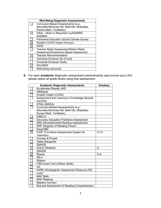| <b>Well-Being Diagnostic Assessments</b> |
|------------------------------------------|
| Curriculum-Based Assessments (e.g.,      |
| Macmillan/McGraw-Hill, Math180, MobyMax, |
| Rocket Math, TenMarks)                   |
| Other - Write In (Required) mySAEBRS,    |
| <b>SAEBRS</b>                            |
| Panorama Education School Climate Survey |
| <b>Student COVID Impact Surveys</b>      |
| SWIS                                     |
| Teacher Made Assessment/District Made    |
| Assessment/Classroom Based Assessment    |
| <b>Teacher Recommendation</b>            |
| Universal Screener list of tools         |
| Universal Screener Guide                 |
| WA-KIDS                                  |
| Well-being resources                     |

**6.** For each **academic** diagnostic assessment predominantly used across your LEA, please select all grade levels using that assessment.

| <b>Academic Diagnostic Assessments</b>           | Grade(s) |
|--------------------------------------------------|----------|
| <b>Accelerated Reader (AR)</b>                   |          |
| <b>AIMSweb</b>                                   |          |
| Amplify Insight (CCSS)                           |          |
| Assessment and Learning in Knowledge Spaced      |          |
| (ALEKS)                                          |          |
| CPAA (NWEA)                                      |          |
| Curriculum-Based Assessments (e.g.,              |          |
| Macmillan/McGraw-Hill, Math180, MobyMax,         |          |
| Rocket Math, TenMarks)                           |          |
| <b>DIBELS</b>                                    |          |
| <b>Discovery Education Predictive Assessment</b> |          |
| DRA (Developmental Reading Assessment)           |          |
| DRP (Degrees of Reading Power)                   |          |
| EasyCBM                                          |          |
| FAST (Formative Assessment System for            | $K-12$   |
| Teachers)                                        |          |
| Fountas & Pinnell                                |          |
| Gates Macginitie                                 |          |
| <b>GMADE</b>                                     |          |
| GOLD (WaKids)                                    | Κ        |
| <b>GRADE</b>                                     |          |
| iReady                                           | K-8      |
| <b>IRLA</b>                                      |          |
| <b>iStation</b>                                  |          |
| <b>ITBS (Iowa Test of Basic Skills)</b>          |          |
| ixl                                              |          |
| KARK (Kindergarten Assessment Resource Kit)      |          |
| Lexia                                            |          |
| <b>MAP Math</b>                                  |          |
| <b>MAP Reading</b>                               |          |
| <b>Mastery Connect</b>                           |          |
| McLeod Assessment of Reading Comprehension       |          |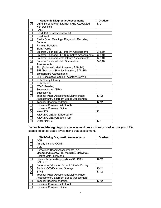|                   | <b>Academic Diagnostic Assessments</b>            | Grade(s)    |
|-------------------|---------------------------------------------------|-------------|
| $\boxtimes$       | OSPI Screeners for Literacy Skills Associated     | $K-2$       |
|                   | with Dyslexia                                     |             |
|                   | <b>PALS</b>                                       |             |
|                   | Read 180 (assessment tools)                       |             |
|                   | <b>Read Well</b>                                  |             |
|                   | Really Great Reading - Diagnostic Decoding        |             |
|                   | Surveys                                           |             |
|                   | <b>Running Records</b>                            |             |
|                   | Sight Words                                       |             |
| $\boxtimes$       | <b>Smarter Balanced ELA Interim Assessments</b>   | $3 - 8, 10$ |
| $\bar{\boxtimes}$ | <b>Smarter Balanced ELA Summative Assessments</b> | $3 - 8, 10$ |
|                   | <b>Smarter Balanced Math Interim Assessments</b>  | $3 - 8, 10$ |
|                   | <b>Smarter Balanced Math Summative</b>            | $3 - 8, 10$ |
|                   | Assessments                                       |             |
|                   | SMI (Scholastic Math Inventory SAM/MI)            |             |
|                   | SPI (Scholastic Phonics Inventory SAM/PI)         |             |
|                   | <b>SpringBoard Assessments</b>                    |             |
|                   | SRI (Scholastic Reading Inventory SAM/RI)         |             |
|                   | <b>STAR Early Literacy</b>                        |             |
|                   | <b>STAR Math</b>                                  |             |
|                   | <b>STAR Reading</b>                               |             |
|                   | Success for All (SFA)                             |             |
|                   | <b>SuccessNet</b>                                 |             |
| $\boxtimes$       | <b>Teacher Made Assessment/District Made</b>      | $K-12$      |
|                   | Assessment/Classroom Based Assessment             |             |
| $\boxtimes$       | <b>Teacher Recommendation</b>                     | $K-12$      |
|                   | Universal Screener list of tools                  |             |
|                   | <b>Universal Screener Guide</b>                   |             |
|                   | <b>WA-KIDS</b>                                    | K           |
|                   | <b>WIDA MODEL for Kindergarten</b>                |             |
|                   | WIDA MODEL (Grades 1-12)                          |             |
|                   | <b>Other NNAT3</b>                                | $K-1$       |

For each **well-being** diagnostic assessment predominantly used across your LEA, please select all grade levels using that assessment.

| <b>Well-Being Diagnostic Assessments</b>                                        | Grade(s) |
|---------------------------------------------------------------------------------|----------|
| <b>ACE</b>                                                                      |          |
| Amplify Insight (CCSS)                                                          |          |
| CEE                                                                             |          |
| Curriculum-Based Assessments (e.g.,<br>Macmillan/McGraw-Hill, Math180, MobyMax, |          |
| Rocket Math, TenMarks)                                                          |          |
| Other - Write In (Required) mySAEBRS,                                           | $K-12$   |
| <b>SAEBRS</b>                                                                   |          |
| Panorama Education School Climate Survey                                        |          |
| <b>Student COVID Impact Surveys</b>                                             | $K-12$   |
| SWIS                                                                            | $K-12$   |
| <b>Teacher Made Assessment/District Made</b>                                    |          |
| Assessment/Classroom Based Assessment                                           |          |
| <b>Teacher Recommendation</b>                                                   | $K-12$   |
| Universal Screener list of tools                                                |          |
| Universal Screener Guide                                                        |          |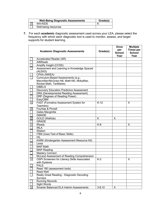| <b>Well-Being Diagnostic Assessments</b> | Grade(s) |
|------------------------------------------|----------|
| WA-KIDS                                  |          |
| Well-being resources                     |          |

**7.** For each **academic** diagnostic assessment used across your LEA, please select the frequency with which each diagnostic tool is used to monitor, assess, and target supports for student learning.

|             | <b>Academic Diagnostic Assessments</b>                                                                    | Grade(s)    | Once<br>per           | <b>Multiple</b><br><b>Times per</b> |
|-------------|-----------------------------------------------------------------------------------------------------------|-------------|-----------------------|-------------------------------------|
|             |                                                                                                           |             | <b>School</b><br>Year | <b>School</b><br>Year               |
|             | Accelerated Reader (AR)                                                                                   |             |                       |                                     |
|             | AIMSweb                                                                                                   |             |                       |                                     |
|             | Amplify Insight (CCSS)                                                                                    |             |                       |                                     |
|             | Assessment and Learning in Knowledge Spaced<br>(ALEKS)                                                    |             |                       |                                     |
|             | CPAA (NWEA)                                                                                               |             |                       |                                     |
|             | Curriculum-Based Assessments (e.g.,<br>Macmillan/McGraw-Hill, Math180, MobyMax,<br>Rocket Math, TenMarks) |             |                       |                                     |
|             | <b>DIBELS</b>                                                                                             |             |                       |                                     |
|             | <b>Discovery Education Predictive Assessment</b>                                                          |             |                       |                                     |
|             | DRA (Developmental Reading Assessment)                                                                    |             |                       |                                     |
|             | DRP (Degrees of Reading Power)                                                                            |             |                       |                                     |
|             | EasyCBM                                                                                                   |             |                       |                                     |
| $\boxtimes$ | <b>FAST (Formative Assessment System for</b>                                                              | $K-12$      |                       | X                                   |
|             | Teachers)                                                                                                 |             |                       |                                     |
| $\times$    | Fountas & Pinnell                                                                                         |             |                       |                                     |
|             | <b>Gates Macginitie</b>                                                                                   |             |                       |                                     |
|             | <b>GMADE</b>                                                                                              |             |                       |                                     |
|             | GOLD (WaKids)                                                                                             | Κ           | X                     |                                     |
|             | <b>GRADE</b>                                                                                              |             |                       |                                     |
|             | iReady                                                                                                    | K-8         |                       | $\pmb{\times}$                      |
|             | <b>IRLA</b>                                                                                               |             |                       |                                     |
|             | iStation                                                                                                  |             |                       |                                     |
|             | ITBS (Iowa Test of Basic Skills)                                                                          |             |                       |                                     |
|             | <b>IXL</b>                                                                                                |             |                       |                                     |
|             | KARK (Kindergarten Assessment Resource Kit)                                                               |             |                       |                                     |
|             | Lexia                                                                                                     |             |                       |                                     |
|             | <b>MAP Math</b>                                                                                           |             |                       |                                     |
|             | <b>MAP Reading</b>                                                                                        |             |                       |                                     |
|             | <b>Mastery Connect</b>                                                                                    |             |                       |                                     |
|             | McLeod Assessment of Reading Comprehension                                                                |             |                       |                                     |
| $\boxtimes$ | <b>OSPI Screeners for Literacy Skills Associated</b>                                                      | $K-2$       |                       | X                                   |
|             | with Dyslexia                                                                                             |             |                       |                                     |
|             | <b>PALS</b>                                                                                               |             |                       |                                     |
|             | Read 180 (assessment tools)                                                                               |             |                       |                                     |
|             | <b>Read Well</b>                                                                                          |             |                       |                                     |
|             | Really Great Reading - Diagnostic Decoding                                                                |             |                       |                                     |
|             | Surveys                                                                                                   |             |                       |                                     |
|             | <b>Running Records</b>                                                                                    |             |                       |                                     |
|             | Sight Words                                                                                               |             |                       |                                     |
|             | <b>Smarter Balanced ELA Interim Assessments</b>                                                           | $3 - 8, 10$ | X                     |                                     |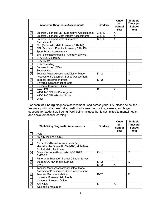|          |                                                   |           | Once                 | <b>Multiple</b>                   |
|----------|---------------------------------------------------|-----------|----------------------|-----------------------------------|
|          | <b>Academic Diagnostic Assessments</b>            | Grade(s)  | per<br><b>School</b> | <b>Times per</b><br><b>School</b> |
|          |                                                   |           | Year                 | Year                              |
| $\times$ | <b>Smarter Balanced ELA Summative Assessments</b> | $3-8, 10$ | $\sf X$              |                                   |
|          | <b>Smarter Balanced Math Interim Assessments</b>  | $3-8, 10$ | X                    |                                   |
|          | <b>Smarter Balanced Math Summative</b>            | $3-8, 10$ | $\mathsf{X}$         |                                   |
|          | Assessments                                       |           |                      |                                   |
|          | SMI (Scholastic Math Inventory SAM/MI)            |           |                      |                                   |
|          | SPI (Scholastic Phonics Inventory SAM/PI)         |           |                      |                                   |
|          | <b>SpringBoard Assessments</b>                    |           |                      |                                   |
|          | SRI (Scholastic Reading Inventory SAM/RI)         |           |                      |                                   |
|          | <b>STAR Early Literacy</b>                        |           |                      |                                   |
|          | <b>STAR Math</b>                                  |           |                      |                                   |
|          | <b>STAR Reading</b>                               |           |                      |                                   |
|          | Success for All (SFA)                             |           |                      |                                   |
|          | <b>SuccessNet</b>                                 |           |                      |                                   |
| $\times$ | Teacher Made Assessment/District Made             | $K-12$    |                      | X                                 |
|          | Assessment/Classroom Based Assessment             |           |                      |                                   |
| ⋉        | <b>Teacher Recommendation</b>                     | $K-12$    |                      | X                                 |
|          | Universal Screener list of tools                  |           |                      |                                   |
|          | <b>Universal Screener Guide</b>                   |           |                      |                                   |
|          | <b>WA-KIDS</b>                                    | K         | X                    |                                   |
|          | WIDA MODEL for Kindergarten                       |           |                      |                                   |
|          | WIDA MODEL (Grades 1-12)                          |           |                      |                                   |
|          | Other                                             |           |                      |                                   |

For each **well-being** diagnostic assessment used across your LEA, please select the frequency with which each diagnostic tool is used to monitor, assess, and target supports for student well-being. Well-being includes but is not limited to mental health and social-emotional learning. 

|             | <b>Well-Being Diagnostic Assessments</b> | Grade(s) | Once<br>per<br><b>School</b> | <b>Multiple</b><br><b>Times per</b><br><b>School</b> |
|-------------|------------------------------------------|----------|------------------------------|------------------------------------------------------|
|             |                                          |          | Year                         | Year                                                 |
|             | <b>ACE</b>                               |          |                              |                                                      |
|             | Amplify Insight (CCSS)                   |          |                              |                                                      |
|             | <b>CEE</b>                               |          |                              |                                                      |
|             | Curriculum-Based Assessments (e.g.,      |          |                              |                                                      |
|             | Macmillan/McGraw-Hill, Math180, MobyMax, |          |                              |                                                      |
|             | Rocket Math, TenMarks)                   |          |                              |                                                      |
| $\boxtimes$ | Other - Write In (Required) MySAEBRS,    | $K-12$   |                              | X                                                    |
|             | <b>SAEBRS</b>                            |          |                              |                                                      |
|             | Panorama Education School Climate Survey |          |                              |                                                      |
|             | <b>Student COVID Impact Surveys</b>      | $K-12$   |                              | X                                                    |
|             | SWIS                                     | $K-12$   | X                            |                                                      |
|             | Teacher Made Assessment/District Made    |          |                              |                                                      |
|             | Assessment/Classroom Based Assessment    |          |                              |                                                      |
|             | Teacher Recommendation                   | $K-12$   |                              | X                                                    |
|             | Universal Screener list of tools         |          |                              |                                                      |
|             | <b>Universal Screener Guide</b>          |          |                              |                                                      |
|             | WA-KIDS                                  | K        | X                            |                                                      |
|             | Well-being resources                     |          |                              |                                                      |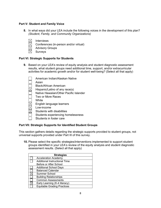#### **Part V: Student and Family Voice**

- **8.** In what ways did your LEA include the following voices in the development of this plan?  *(Student, Family, and Community Organizations)*
	- Interviews
	- $\overline{\nabla}$ Conferences (in-person and/or virtual)
		- Advisory Groups
		- Surveys

#### **Part VI: Strategic Supports for Students**

**9.** Based on your LEA's review of equity analysis and student diagnostic assessment results, what student groups need additional time, support, and/or extracurricular activities for academic growth and/or for student well-being? (Select all that apply)

| American Indian/Alaskan Native         |
|----------------------------------------|
| Asian                                  |
| Black/African American                 |
| Hispanic/Latino of any race(s)         |
| Native Hawaiian/Other Pacific Islander |
| Two or More Races                      |
| White                                  |
| English language learners              |
| I ow-income                            |
| Students with disabilities             |
| Students experiencing homelessness     |
| Students in foster care                |
|                                        |

#### **Part VII: Strategic Supports for Identified Student Groups**

This section gathers details regarding the strategic supports provided to student groups, not universal supports provided under Part III of this survey.

**10.** Please select the specific strategies/interventions implemented to support student groups identified in your LEA's review of the equity analysis and student diagnostic assessment results. (Select all that apply)

| <b>Strategies</b> |                                      |  |  |  |
|-------------------|--------------------------------------|--|--|--|
|                   | <b>Acceleration Academy</b>          |  |  |  |
|                   | <b>Additional Instructional Time</b> |  |  |  |
|                   | Before or After School               |  |  |  |
|                   | <b>Additional School Days</b>        |  |  |  |
|                   | <b>Balanced Calendar</b>             |  |  |  |
|                   | Summer School                        |  |  |  |
|                   | <b>Building Relationships</b>        |  |  |  |
|                   | <b>Common Assessments</b>            |  |  |  |
|                   | Early Learning (K-4 literacy)        |  |  |  |
|                   | <b>Equitable Grading Practices</b>   |  |  |  |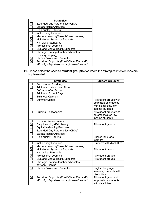| <b>Strategies</b> |                                            |  |  |  |
|-------------------|--------------------------------------------|--|--|--|
|                   | <b>Extended Day Partnerships (CBOs)</b>    |  |  |  |
|                   | <b>Extracurricular Activities</b>          |  |  |  |
|                   | <b>High-quality Tutoring</b>               |  |  |  |
|                   | <b>Inclusionary Practices</b>              |  |  |  |
|                   | Mastery Learning/Project-Based learning    |  |  |  |
|                   | Multi-tiered System of Supports            |  |  |  |
|                   | Narrowing Standards                        |  |  |  |
|                   | <b>Professional Learning</b>               |  |  |  |
|                   | SEL and Mental Health Supports             |  |  |  |
|                   | Strategic Staffing (teacher advocates,     |  |  |  |
|                   | advisory, looping)                         |  |  |  |
|                   | <b>Student Voice and Perception</b>        |  |  |  |
|                   | Transition Supports (Pre-K-Elem; Elem- MS; |  |  |  |
|                   | MS-HS; HS-post-secondary/ career/beyond)   |  |  |  |

**11.** Please select the specific **student group(s)** for whom the strategies/interventions are implemented.

| <b>Strategies</b> |                                                                                        | <b>Student Group(s)</b>                                                                      |
|-------------------|----------------------------------------------------------------------------------------|----------------------------------------------------------------------------------------------|
|                   | <b>Acceleration Academy</b>                                                            |                                                                                              |
|                   | <b>Additional Instructional Time</b>                                                   |                                                                                              |
|                   | Before or After School                                                                 |                                                                                              |
|                   | <b>Additional School Days</b>                                                          |                                                                                              |
|                   | <b>Balanced Calendar</b>                                                               |                                                                                              |
|                   | Summer School                                                                          | All student groups with<br>emphasis on students<br>with disabilities, low<br>income students |
| $\boxtimes$       | <b>Building Relationships</b>                                                          | All student groups with<br>an emphasis on low<br>income students                             |
|                   | <b>Common Assessments</b>                                                              |                                                                                              |
|                   | Early Learning (K-4 literacy)                                                          | All student groups                                                                           |
|                   | <b>Equitable Grading Practices</b>                                                     |                                                                                              |
|                   | <b>Extended Day Partnerships (CBOs)</b>                                                |                                                                                              |
|                   | <b>Extracurricular Activities</b>                                                      |                                                                                              |
| $\boxtimes$       | <b>High-quality Tutoring</b>                                                           | English language<br>learners                                                                 |
| $\times$          | <b>Inclusionary Practices</b>                                                          | Students with disabilities                                                                   |
|                   | Mastery Learning/Project-Based learning                                                |                                                                                              |
| $\times$          | Multi-tiered System of Supports                                                        | All student groups                                                                           |
|                   | <b>Narrowing Standards</b>                                                             |                                                                                              |
| $\times$          | <b>Professional Learning</b>                                                           | All student groups                                                                           |
| $\times$          | SEL and Mental Health Supports                                                         | All student groups                                                                           |
|                   | Strategic Staffing (teacher advocates,<br>advisory, looping)                           |                                                                                              |
| $\times$          | <b>Student Voice and Perception</b>                                                    | English language<br>learners, Students with<br>disabilities                                  |
| $\boxtimes$       | Transition Supports (Pre-K-Elem; Elem- MS;<br>MS-HS; HS-post-secondary/ career/beyond) | All student groups with<br>emphasis on students<br>with disabilities                         |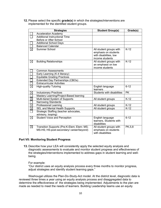**12.** Please select the specific **grade(s)** in which the strategies/interventions are implemented for the identified student groups.

|             | <b>Strategies</b>                                                                      | <b>Student Group(s)</b>                                                                      | Grade(s)  |
|-------------|----------------------------------------------------------------------------------------|----------------------------------------------------------------------------------------------|-----------|
|             | <b>Acceleration Academy</b>                                                            |                                                                                              |           |
|             | <b>Additional Instructional Time</b>                                                   |                                                                                              |           |
|             | Before or After School                                                                 |                                                                                              |           |
|             | <b>Additional School Days</b>                                                          |                                                                                              |           |
|             | <b>Balanced Calendar</b>                                                               |                                                                                              |           |
| $\boxtimes$ | Summer School                                                                          | All student groups with<br>emphasis on students<br>with disabilities, low<br>income students | $K-12$    |
| $\boxtimes$ | <b>Building Relationships</b>                                                          | All student groups with<br>an emphassi on low<br>income students                             | $K-12$    |
|             | Common Assessments                                                                     |                                                                                              |           |
|             | Early Learning (K-4 literacy)                                                          |                                                                                              |           |
|             | <b>Equitable Grading Practices</b>                                                     |                                                                                              |           |
|             | <b>Extended Day Partnerships (CBOs)</b>                                                |                                                                                              |           |
|             | <b>Extracurricular Activities</b>                                                      |                                                                                              |           |
| $\boxtimes$ | <b>High-quality Tutoring</b>                                                           | English language<br>learners                                                                 | $6 - 12$  |
| $\boxtimes$ | <b>Inclusionary Practices</b>                                                          | Students with disabilities                                                                   | <b>PK</b> |
|             | Mastery Learning/Project-Based learning                                                |                                                                                              |           |
| $\times$    | Multi-tiered System of Supports                                                        | All student groups                                                                           | $K-12$    |
|             | Narrowing Standards                                                                    |                                                                                              |           |
| $\times$    | <b>Professional Learning</b>                                                           | All student groups                                                                           | $K-12$    |
| $\boxtimes$ | SEL and Mental Health Supports                                                         | All student groups                                                                           | $K-12$    |
|             | Strategic Staffing (teacher advocates,<br>advisory, looping)                           |                                                                                              |           |
| $\boxtimes$ | <b>Student Voice and Perception</b>                                                    | English language<br>learners, Students with<br>disabilities                                  | $6 - 12$  |
| $\boxtimes$ | Transition Supports (Pre-K-Elem; Elem- MS;<br>MS-HS; HS-post-secondary/ career/beyond) | All student groups with<br>emphasis on students<br>with disabilities                         | PK, 5, 8  |

#### **Part VII: Monitoring Student Progress**

**13.** Describe how your LEA will consistently apply the selected equity analysis and diagnostic assessments to evaluate and monitor student progress and effectiveness of the strategies/interventions implemented to address gaps in student learning and wellbeing. 

For example:

"Our district uses an equity analysis process every three months to monitor progress, adjust strategies and identify student learning gaps."

Washougal utilizes the Plan-Do-Study-Act model. At the district level, diagnostic data is reviewed three times a year using an equity analysis process and disaggregated data to determine the effectiveness of the strategies being implemented. Adjustments to the plan are made as needed to meet the needs of learners. Building Leadership teams use an equity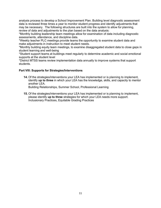analysis process to develop a School Improvement Plan. Building level diagnostic assessment data is reviewed three times a year to monitor student progress and identify adjustments that may be necessary. The following structures are built into the system to allow for planning, review of data and adjustments to the plan based on the data analysis:

\*Monthly building leadership team meetings allow for examination of data including diagnostic assessments, attendance, and discipline data.

\*Weekly teacher PLC meetings provide teams the opportunity to examine student data and make adjustments in instruction to meet student needs.

\*Monthly building equity team meetings, to examine disaggregated student data to close gaps in student learning and well-being

\*Student support teams at buildings meet regularly to determine academic and social emotional supports at the student level

\*District MTSS teams review implementation data annually to improve systems that support students.

#### **Part VIII: Supports for Strategies/Interventions**

**14.** Of the strategies/interventions your LEA has implemented or is planning to implement, identify **up to three** in which your LEA has the knowledge, skills, and capacity to mentor another LEA.

Building Relationships, Summer School, Professional Learning

**15.** Of the strategies/interventions your LEA has implemented or is planning to implement, please identify **up to three** strategies for which your LEA needs more support.  Inclusionary Practices, Equitable Grading Practices